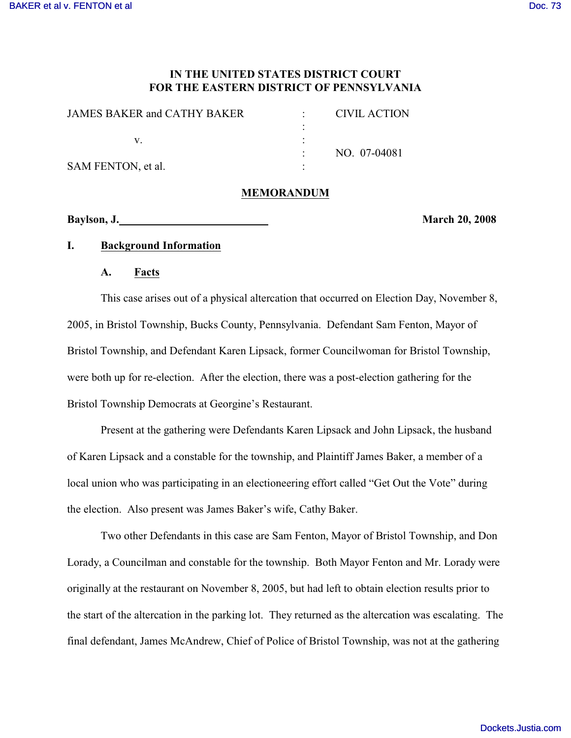## **IN THE UNITED STATES DISTRICT COURT FOR THE EASTERN DISTRICT OF PENNSYLVANIA**

| JAMES BAKER and CATHY BAKER | CIVIL ACTION |
|-----------------------------|--------------|
|                             |              |
|                             |              |
|                             | NO. 07-04081 |
| SAM FENTON, et al.          |              |

## **MEMORANDUM**

**Baylson, J. March 20, 2008**

## **I. Background Information**

#### **A. Facts**

This case arises out of a physical altercation that occurred on Election Day, November 8, 2005, in Bristol Township, Bucks County, Pennsylvania. Defendant Sam Fenton, Mayor of Bristol Township, and Defendant Karen Lipsack, former Councilwoman for Bristol Township, were both up for re-election. After the election, there was a post-election gathering for the Bristol Township Democrats at Georgine's Restaurant.

Present at the gathering were Defendants Karen Lipsack and John Lipsack, the husband of Karen Lipsack and a constable for the township, and Plaintiff James Baker, a member of a local union who was participating in an electioneering effort called "Get Out the Vote" during the election. Also present was James Baker's wife, Cathy Baker.

Two other Defendants in this case are Sam Fenton, Mayor of Bristol Township, and Don Lorady, a Councilman and constable for the township. Both Mayor Fenton and Mr. Lorady were originally at the restaurant on November 8, 2005, but had left to obtain election results prior to the start of the altercation in the parking lot. They returned as the altercation was escalating. The final defendant, James McAndrew, Chief of Police of Bristol Township, was not at the gathering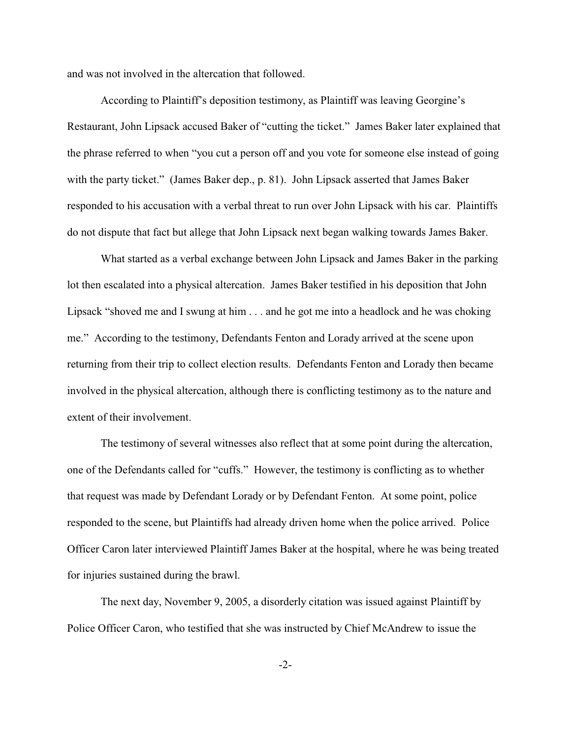and was not involved in the altercation that followed.

According to Plaintiff's deposition testimony, as Plaintiff was leaving Georgine's Restaurant, John Lipsack accused Baker of "cutting the ticket." James Baker later explained that the phrase referred to when "you cut a person off and you vote for someone else instead of going with the party ticket." (James Baker dep., p. 81). John Lipsack asserted that James Baker responded to his accusation with a verbal threat to run over John Lipsack with his car. Plaintiffs do not dispute that fact but allege that John Lipsack next began walking towards James Baker.

What started as a verbal exchange between John Lipsack and James Baker in the parking lot then escalated into a physical altercation. James Baker testified in his deposition that John Lipsack "shoved me and I swung at him . . . and he got me into a headlock and he was choking me." According to the testimony, Defendants Fenton and Lorady arrived at the scene upon returning from their trip to collect election results. Defendants Fenton and Lorady then became involved in the physical altercation, although there is conflicting testimony as to the nature and extent of their involvement.

The testimony of several witnesses also reflect that at some point during the altercation, one of the Defendants called for "cuffs." However, the testimony is conflicting as to whether that request was made by Defendant Lorady or by Defendant Fenton. At some point, police responded to the scene, but Plaintiffs had already driven home when the police arrived. Police Officer Caron later interviewed Plaintiff James Baker at the hospital, where he was being treated for injuries sustained during the brawl.

The next day, November 9, 2005, a disorderly citation was issued against Plaintiff by Police Officer Caron, who testified that she was instructed by Chief McAndrew to issue the

-2-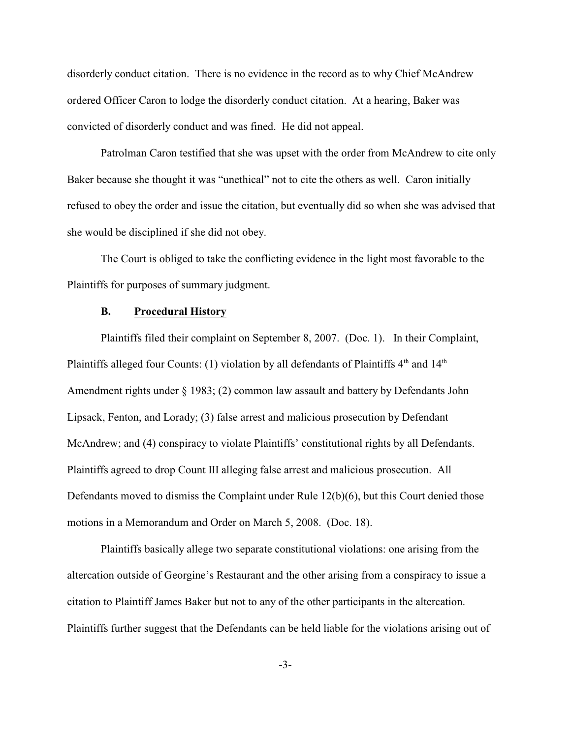disorderly conduct citation. There is no evidence in the record as to why Chief McAndrew ordered Officer Caron to lodge the disorderly conduct citation. At a hearing, Baker was convicted of disorderly conduct and was fined. He did not appeal.

Patrolman Caron testified that she was upset with the order from McAndrew to cite only Baker because she thought it was "unethical" not to cite the others as well. Caron initially refused to obey the order and issue the citation, but eventually did so when she was advised that she would be disciplined if she did not obey.

The Court is obliged to take the conflicting evidence in the light most favorable to the Plaintiffs for purposes of summary judgment.

#### **B. Procedural History**

Plaintiffs filed their complaint on September 8, 2007. (Doc. 1). In their Complaint, Plaintiffs alleged four Counts: (1) violation by all defendants of Plaintiffs  $4<sup>th</sup>$  and  $14<sup>th</sup>$ Amendment rights under § 1983; (2) common law assault and battery by Defendants John Lipsack, Fenton, and Lorady; (3) false arrest and malicious prosecution by Defendant McAndrew; and (4) conspiracy to violate Plaintiffs' constitutional rights by all Defendants. Plaintiffs agreed to drop Count III alleging false arrest and malicious prosecution. All Defendants moved to dismiss the Complaint under Rule 12(b)(6), but this Court denied those motions in a Memorandum and Order on March 5, 2008. (Doc. 18).

Plaintiffs basically allege two separate constitutional violations: one arising from the altercation outside of Georgine's Restaurant and the other arising from a conspiracy to issue a citation to Plaintiff James Baker but not to any of the other participants in the altercation. Plaintiffs further suggest that the Defendants can be held liable for the violations arising out of

-3-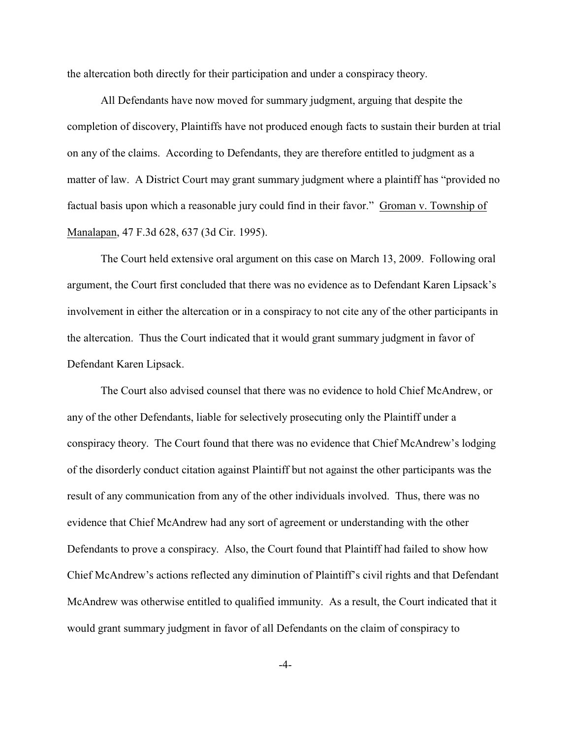the altercation both directly for their participation and under a conspiracy theory.

All Defendants have now moved for summary judgment, arguing that despite the completion of discovery, Plaintiffs have not produced enough facts to sustain their burden at trial on any of the claims. According to Defendants, they are therefore entitled to judgment as a matter of law. A District Court may grant summary judgment where a plaintiff has "provided no factual basis upon which a reasonable jury could find in their favor." Groman v. Township of Manalapan, 47 F.3d 628, 637 (3d Cir. 1995).

The Court held extensive oral argument on this case on March 13, 2009. Following oral argument, the Court first concluded that there was no evidence as to Defendant Karen Lipsack's involvement in either the altercation or in a conspiracy to not cite any of the other participants in the altercation. Thus the Court indicated that it would grant summary judgment in favor of Defendant Karen Lipsack.

The Court also advised counsel that there was no evidence to hold Chief McAndrew, or any of the other Defendants, liable for selectively prosecuting only the Plaintiff under a conspiracy theory. The Court found that there was no evidence that Chief McAndrew's lodging of the disorderly conduct citation against Plaintiff but not against the other participants was the result of any communication from any of the other individuals involved. Thus, there was no evidence that Chief McAndrew had any sort of agreement or understanding with the other Defendants to prove a conspiracy. Also, the Court found that Plaintiff had failed to show how Chief McAndrew's actions reflected any diminution of Plaintiff's civil rights and that Defendant McAndrew was otherwise entitled to qualified immunity. As a result, the Court indicated that it would grant summary judgment in favor of all Defendants on the claim of conspiracy to

-4-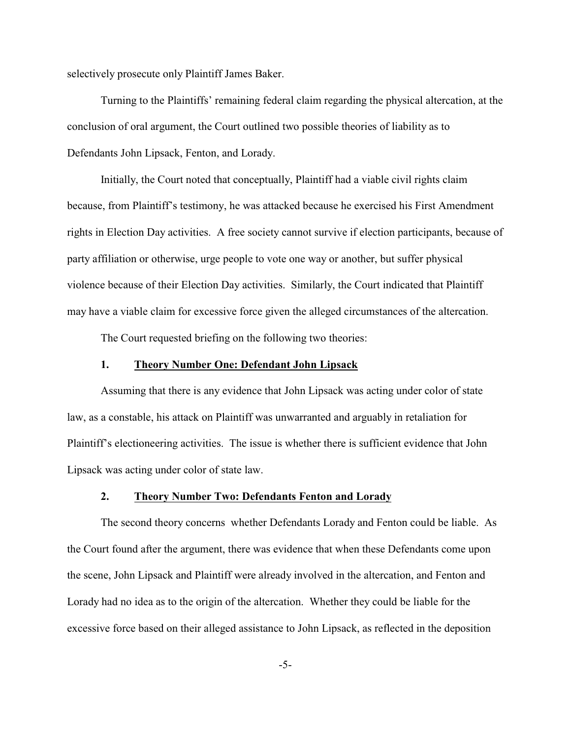selectively prosecute only Plaintiff James Baker.

Turning to the Plaintiffs' remaining federal claim regarding the physical altercation, at the conclusion of oral argument, the Court outlined two possible theories of liability as to Defendants John Lipsack, Fenton, and Lorady.

Initially, the Court noted that conceptually, Plaintiff had a viable civil rights claim because, from Plaintiff's testimony, he was attacked because he exercised his First Amendment rights in Election Day activities. A free society cannot survive if election participants, because of party affiliation or otherwise, urge people to vote one way or another, but suffer physical violence because of their Election Day activities. Similarly, the Court indicated that Plaintiff may have a viable claim for excessive force given the alleged circumstances of the altercation.

The Court requested briefing on the following two theories:

## **1. Theory Number One: Defendant John Lipsack**

Assuming that there is any evidence that John Lipsack was acting under color of state law, as a constable, his attack on Plaintiff was unwarranted and arguably in retaliation for Plaintiff's electioneering activities. The issue is whether there is sufficient evidence that John Lipsack was acting under color of state law.

### **2. Theory Number Two: Defendants Fenton and Lorady**

The second theory concerns whether Defendants Lorady and Fenton could be liable. As the Court found after the argument, there was evidence that when these Defendants come upon the scene, John Lipsack and Plaintiff were already involved in the altercation, and Fenton and Lorady had no idea as to the origin of the altercation. Whether they could be liable for the excessive force based on their alleged assistance to John Lipsack, as reflected in the deposition

-5-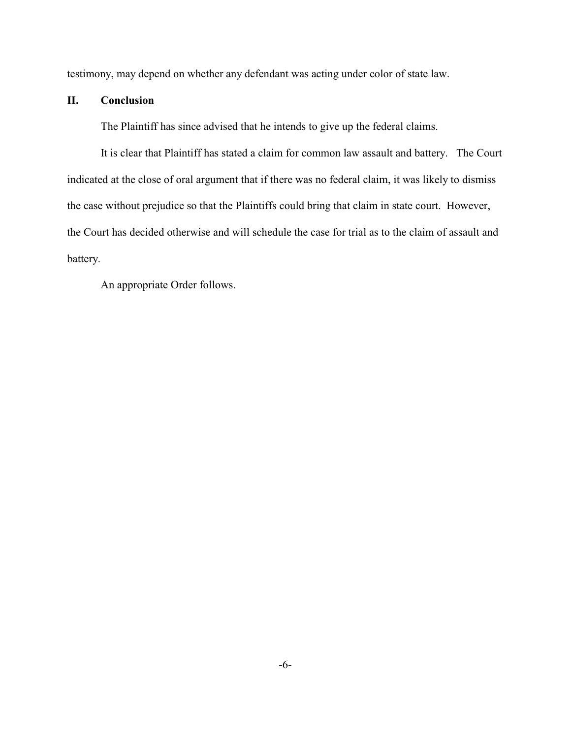testimony, may depend on whether any defendant was acting under color of state law.

# **II. Conclusion**

The Plaintiff has since advised that he intends to give up the federal claims.

It is clear that Plaintiff has stated a claim for common law assault and battery. The Court indicated at the close of oral argument that if there was no federal claim, it was likely to dismiss the case without prejudice so that the Plaintiffs could bring that claim in state court. However, the Court has decided otherwise and will schedule the case for trial as to the claim of assault and battery.

An appropriate Order follows.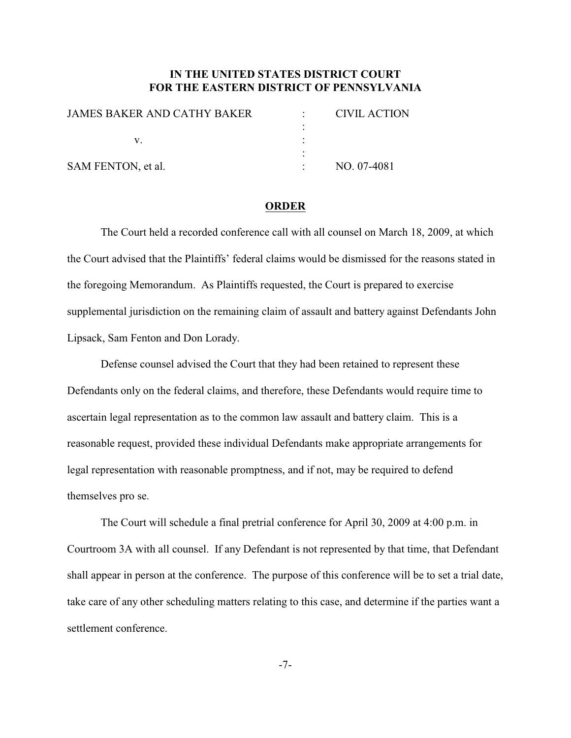# **IN THE UNITED STATES DISTRICT COURT FOR THE EASTERN DISTRICT OF PENNSYLVANIA**

| <b>JAMES BAKER AND CATHY BAKER</b> | CIVIL ACTION |
|------------------------------------|--------------|
|                                    |              |
|                                    |              |
|                                    |              |
| SAM FENTON, et al.                 | NO. 07-4081  |
|                                    |              |

#### **ORDER**

The Court held a recorded conference call with all counsel on March 18, 2009, at which the Court advised that the Plaintiffs' federal claims would be dismissed for the reasons stated in the foregoing Memorandum. As Plaintiffs requested, the Court is prepared to exercise supplemental jurisdiction on the remaining claim of assault and battery against Defendants John Lipsack, Sam Fenton and Don Lorady.

Defense counsel advised the Court that they had been retained to represent these Defendants only on the federal claims, and therefore, these Defendants would require time to ascertain legal representation as to the common law assault and battery claim. This is a reasonable request, provided these individual Defendants make appropriate arrangements for legal representation with reasonable promptness, and if not, may be required to defend themselves pro se.

The Court will schedule a final pretrial conference for April 30, 2009 at 4:00 p.m. in Courtroom 3A with all counsel. If any Defendant is not represented by that time, that Defendant shall appear in person at the conference. The purpose of this conference will be to set a trial date, take care of any other scheduling matters relating to this case, and determine if the parties want a settlement conference.